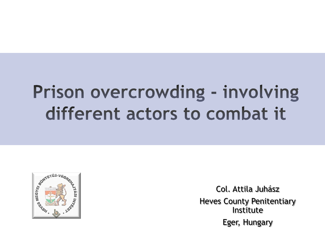### Prison overcrowding - involving different actors to combat it



Col. Attila Juhász Heves County Penitentiary Institute Eger, Hungary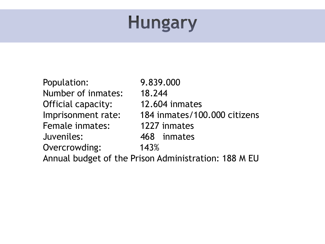### **Hungary**

Population: 9.839.000 Number of inmates: 18.244 Official capacity: 12.604 inmates Female inmates: 1227 inmates Juveniles: 468 inmates Overcrowding: 143%

Imprisonment rate: 184 inmates/100.000 citizens

Annual budget of the Prison Administration: 188 M EU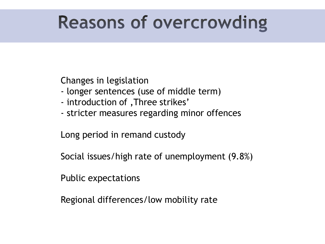#### **Reasons of overcrowding**

Changes in legislation

- longer sentences (use of middle term)
- introduction of , Three strikes'
- stricter measures regarding minor offences

Long period in remand custody

Social issues/high rate of unemployment (9.8%)

Public expectations

Regional differences/low mobility rate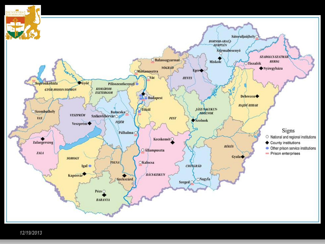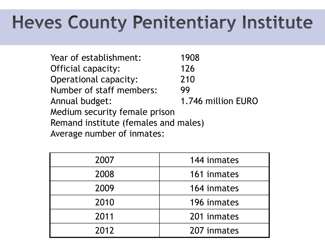## **Heves County Penitentiary Institute**

Year of establishment: 1908 Official capacity: 126 Operational capacity: 210 Number of staff members: 99 Annual budget: 1.746 million EURO Medium security female prison Remand institute (females and males) Average number of inmates:

| 2007 | 144 inmates |
|------|-------------|
| 2008 | 161 inmates |
| 2009 | 164 inmates |
| 2010 | 196 inmates |
| 2011 | 201 inmates |
| 2012 | 207 inmates |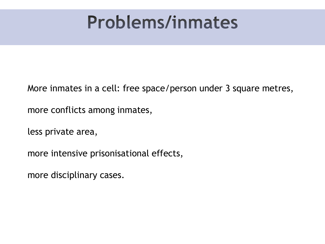#### **Problems/inmates**

More inmates in a cell: free space/person under 3 square metres,

more conflicts among inmates,

less private area,

more intensive prisonisational effects,

more disciplinary cases.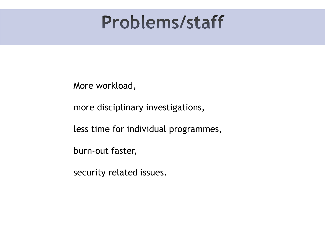#### **Problems/staff**

More workload,

more disciplinary investigations,

less time for individual programmes,

burn-out faster,

security related issues.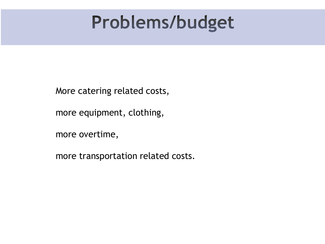#### Problems/budget

More catering related costs,

more equipment, clothing,

more overtime,

more transportation related costs.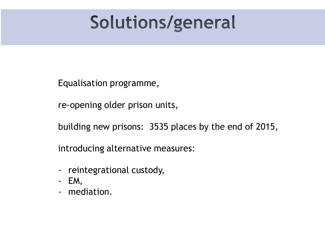#### Solutions/general

Equalisation programme,

re-opening older prison units,

building new prisons: 3535 places by the end of 2015,

introducing alternative measures:

- reintegrational custody,
- EM,
- mediation.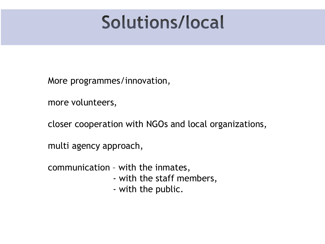#### Solutions/local

More programmes/innovation,

more volunteers,

closer cooperation with NGOs and local organizations,

multi agency approach,

communication – with the inmates,

- with the staff members,
- with the public.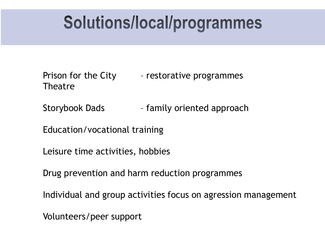#### Solutions/local/programmes

Prison for the City – restorative programmes Theatre

Storybook Dads – family oriented approach

Education/vocational training

Leisure time activities, hobbies

Drug prevention and harm reduction programmes

Individual and group activities focus on agression management

Volunteers/peer support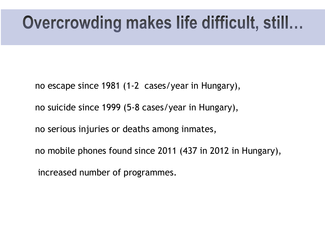#### Overcrowding makes life difficult, still...

- no escape since 1981 (1-2 cases/year in Hungary),
- no suicide since 1999 (5-8 cases/year in Hungary),
- no serious injuries or deaths among inmates,
- no mobile phones found since 2011 (437 in 2012 in Hungary),
- increased number of programmes.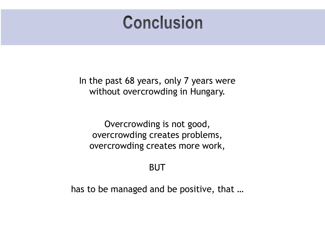#### **Conclusion**

In the past 68 years, only 7 years were without overcrowding in Hungary.

Overcrowding is not good, overcrowding creates problems, overcrowding creates more work,

BUT

has to be managed and be positive, that …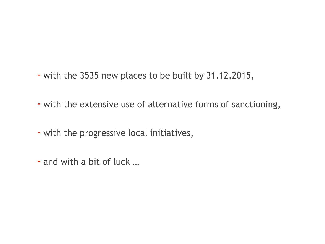- with the 3535 new places to be built by 31.12.2015,
- with the extensive use of alternative forms of sanctioning,
- with the progressive local initiatives,
- and with a bit of luck …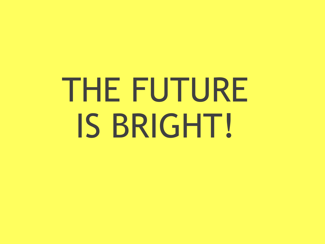# THE FUTURE IS BRIGHT!